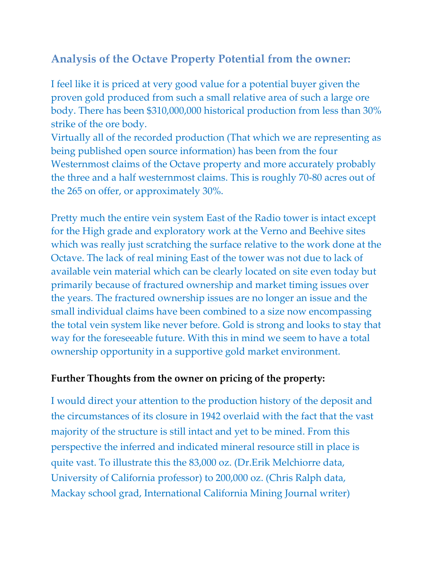## **Analysis of the Octave Property Potential from the owner:**

I feel like it is priced at very good value for a potential buyer given the proven gold produced from such a small relative area of such a large ore body. There has been \$310,000,000 historical production from less than 30% strike of the ore body.

Virtually all of the recorded production (That which we are representing as being published open source information) has been from the four Westernmost claims of the Octave property and more accurately probably the three and a half westernmost claims. This is roughly 70-80 acres out of the 265 on offer, or approximately 30%.

Pretty much the entire vein system East of the Radio tower is intact except for the High grade and exploratory work at the Verno and Beehive sites which was really just scratching the surface relative to the work done at the Octave. The lack of real mining East of the tower was not due to lack of available vein material which can be clearly located on site even today but primarily because of fractured ownership and market timing issues over the years. The fractured ownership issues are no longer an issue and the small individual claims have been combined to a size now encompassing the total vein system like never before. Gold is strong and looks to stay that way for the foreseeable future. With this in mind we seem to have a total ownership opportunity in a supportive gold market environment.

## **Further Thoughts from the owner on pricing of the property:**

I would direct your attention to the production history of the deposit and the circumstances of its closure in 1942 overlaid with the fact that the vast majority of the structure is still intact and yet to be mined. From this perspective the inferred and indicated mineral resource still in place is quite vast. To illustrate this the 83,000 oz. (Dr.Erik Melchiorre data, University of California professor) to 200,000 oz. (Chris Ralph data, Mackay school grad, International California Mining Journal writer)